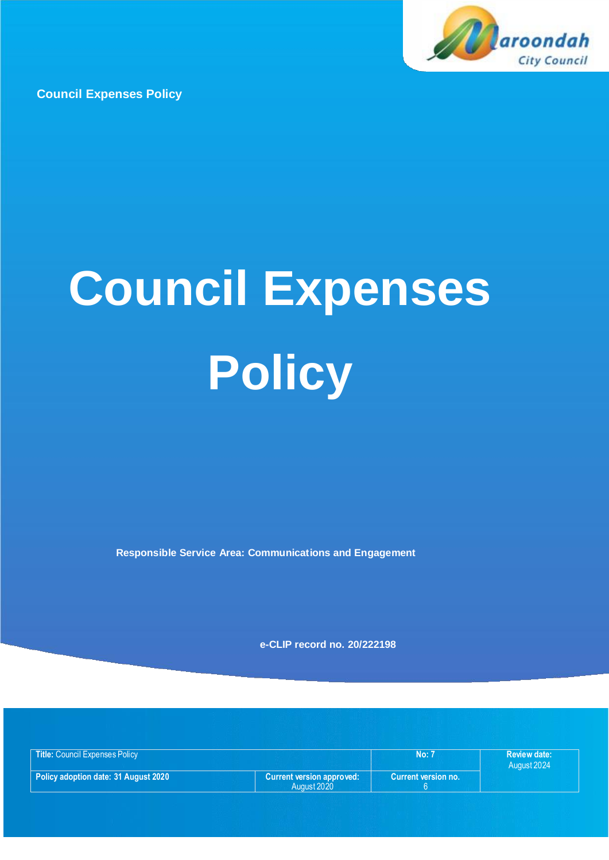

**Council Expenses Policy**

# **Council Expenses Policy**

**Responsible Service Area: Communications and Engagement**

**e-CLIP record no. 20/222198**

| <b>Title: Council Expenses Policy</b>  |                                  | <b>No:</b> 7        | <b>Review date:</b> |
|----------------------------------------|----------------------------------|---------------------|---------------------|
|                                        |                                  |                     | August 2024         |
| Policy adoption date: 31 August 2020 b | <b>Current version approved:</b> | Current version no. |                     |
|                                        | August 2020                      |                     |                     |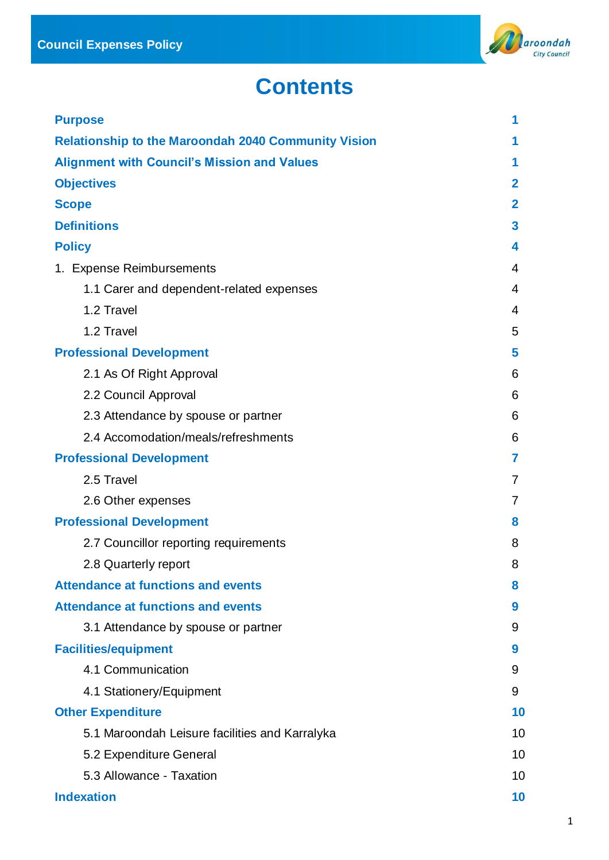

# **Contents**

| <b>Purpose</b>                                             | 1            |
|------------------------------------------------------------|--------------|
| <b>Relationship to the Maroondah 2040 Community Vision</b> | 1            |
| <b>Alignment with Council's Mission and Values</b>         | 1            |
| <b>Objectives</b>                                          | $\mathbf{2}$ |
| <b>Scope</b>                                               | $\mathbf{2}$ |
| <b>Definitions</b>                                         | 3            |
| <b>Policy</b>                                              | 4            |
| 1. Expense Reimbursements                                  | 4            |
| 1.1 Carer and dependent-related expenses                   | 4            |
| 1.2 Travel                                                 | 4            |
| 1.2 Travel                                                 | 5            |
| <b>Professional Development</b>                            | 5            |
| 2.1 As Of Right Approval                                   | 6            |
| 2.2 Council Approval                                       | 6            |
| 2.3 Attendance by spouse or partner                        | 6            |
| 2.4 Accomodation/meals/refreshments                        | 6            |
| <b>Professional Development</b>                            | 7            |
| 2.5 Travel                                                 | 7            |
| 2.6 Other expenses                                         | 7            |
| <b>Professional Development</b>                            | 8            |
| 2.7 Councillor reporting requirements                      | 8            |
| 2.8 Quarterly report                                       | 8            |
| <b>Attendance at functions and events</b>                  | 8            |
| <b>Attendance at functions and events</b>                  | 9            |
| 3.1 Attendance by spouse or partner                        | 9            |
| <b>Facilities/equipment</b>                                | 9            |
| 4.1 Communication                                          | 9            |
| 4.1 Stationery/Equipment                                   | 9            |
| <b>Other Expenditure</b>                                   | 10           |
| 5.1 Maroondah Leisure facilities and Karralyka             | 10           |
| 5.2 Expenditure General                                    | 10           |
| 5.3 Allowance - Taxation                                   | 10           |
| <b>Indexation</b>                                          | 10           |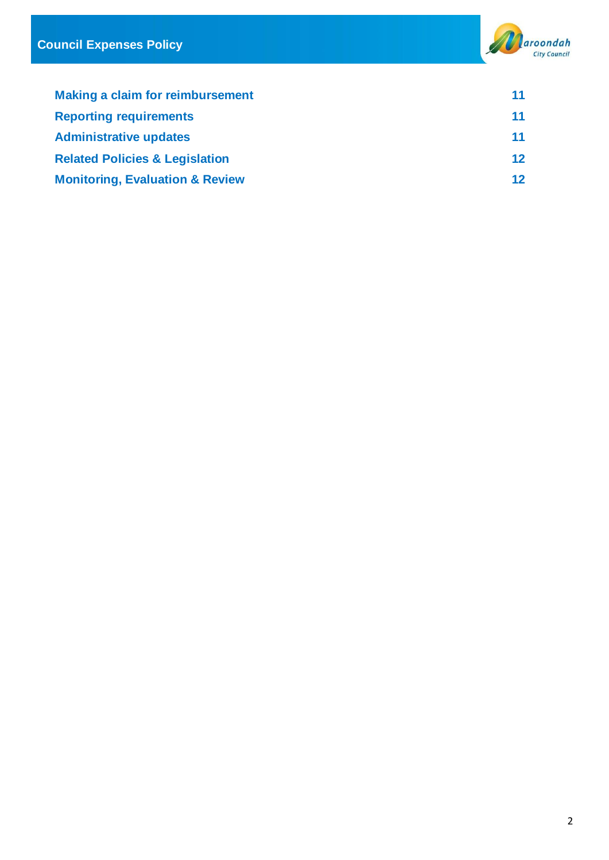

| <b>Making a claim for reimbursement</b>    | 11     |
|--------------------------------------------|--------|
| <b>Reporting requirements</b>              | 11     |
| <b>Administrative updates</b>              | 11     |
| <b>Related Policies &amp; Legislation</b>  | $12 \$ |
| <b>Monitoring, Evaluation &amp; Review</b> | $12 \$ |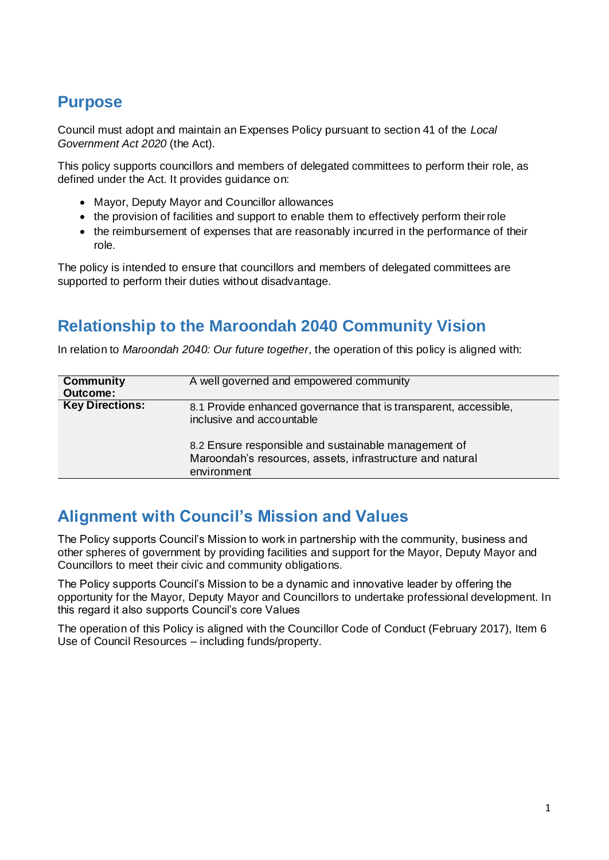# **Purpose**

Council must adopt and maintain an Expenses Policy pursuant to section 41 of the *Local Government Act 2020* (the Act).

This policy supports councillors and members of delegated committees to perform their role, as defined under the Act. It provides guidance on:

- Mayor, Deputy Mayor and Councillor allowances
- the provision of facilities and support to enable them to effectively perform their role
- the reimbursement of expenses that are reasonably incurred in the performance of their role.

The policy is intended to ensure that councillors and members of delegated committees are supported to perform their duties without disadvantage.

# **Relationship to the Maroondah 2040 Community Vision**

In relation to *Maroondah 2040: Our future together*, the operation of this policy is aligned with:

| Community<br><b>Outcome:</b> | A well governed and empowered community                                                                                                                                                                                           |
|------------------------------|-----------------------------------------------------------------------------------------------------------------------------------------------------------------------------------------------------------------------------------|
| <b>Key Directions:</b>       | 8.1 Provide enhanced governance that is transparent, accessible,<br>inclusive and accountable<br>8.2 Ensure responsible and sustainable management of<br>Maroondah's resources, assets, infrastructure and natural<br>environment |

# **Alignment with Council's Mission and Values**

The Policy supports Council's Mission to work in partnership with the community, business and other spheres of government by providing facilities and support for the Mayor, Deputy Mayor and Councillors to meet their civic and community obligations.

The Policy supports Council's Mission to be a dynamic and innovative leader by offering the opportunity for the Mayor, Deputy Mayor and Councillors to undertake professional development. In this regard it also supports Council's core Values

The operation of this Policy is aligned with the Councillor Code of Conduct (February 2017), Item 6 Use of Council Resources – including funds/property.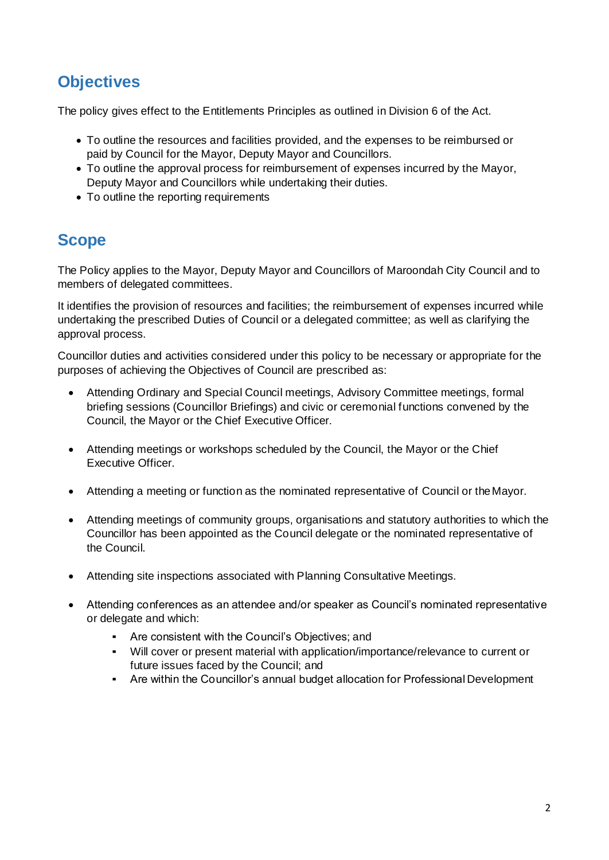# **Objectives**

The policy gives effect to the Entitlements Principles as outlined in Division 6 of the Act.

- To outline the resources and facilities provided, and the expenses to be reimbursed or paid by Council for the Mayor, Deputy Mayor and Councillors.
- To outline the approval process for reimbursement of expenses incurred by the Mayor, Deputy Mayor and Councillors while undertaking their duties.
- To outline the reporting requirements

# **Scope**

The Policy applies to the Mayor, Deputy Mayor and Councillors of Maroondah City Council and to members of delegated committees.

It identifies the provision of resources and facilities; the reimbursement of expenses incurred while undertaking the prescribed Duties of Council or a delegated committee; as well as clarifying the approval process.

Councillor duties and activities considered under this policy to be necessary or appropriate for the purposes of achieving the Objectives of Council are prescribed as:

- Attending Ordinary and Special Council meetings, Advisory Committee meetings, formal briefing sessions (Councillor Briefings) and civic or ceremonial functions convened by the Council, the Mayor or the Chief Executive Officer.
- Attending meetings or workshops scheduled by the Council, the Mayor or the Chief Executive Officer.
- Attending a meeting or function as the nominated representative of Council or theMayor.
- Attending meetings of community groups, organisations and statutory authorities to which the Councillor has been appointed as the Council delegate or the nominated representative of the Council.
- Attending site inspections associated with Planning Consultative Meetings.
- Attending conferences as an attendee and/or speaker as Council's nominated representative or delegate and which:
	- Are consistent with the Council's Objectives; and
	- Will cover or present material with application/importance/relevance to current or future issues faced by the Council; and
	- Are within the Councillor's annual budget allocation for Professional Development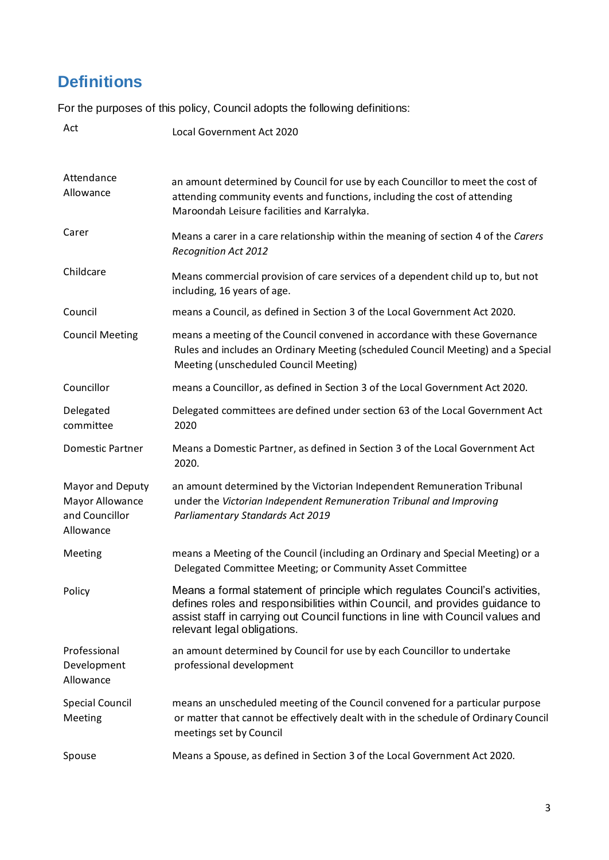# **Definitions**

For the purposes of this policy, Council adopts the following definitions:

| Act                                                                | Local Government Act 2020                                                                                                                                                                                                                                                   |
|--------------------------------------------------------------------|-----------------------------------------------------------------------------------------------------------------------------------------------------------------------------------------------------------------------------------------------------------------------------|
| Attendance<br>Allowance                                            | an amount determined by Council for use by each Councillor to meet the cost of<br>attending community events and functions, including the cost of attending<br>Maroondah Leisure facilities and Karralyka.                                                                  |
| Carer                                                              | Means a carer in a care relationship within the meaning of section 4 of the Carers<br><b>Recognition Act 2012</b>                                                                                                                                                           |
| Childcare                                                          | Means commercial provision of care services of a dependent child up to, but not<br>including, 16 years of age.                                                                                                                                                              |
| Council                                                            | means a Council, as defined in Section 3 of the Local Government Act 2020.                                                                                                                                                                                                  |
| <b>Council Meeting</b>                                             | means a meeting of the Council convened in accordance with these Governance<br>Rules and includes an Ordinary Meeting (scheduled Council Meeting) and a Special<br>Meeting (unscheduled Council Meeting)                                                                    |
| Councillor                                                         | means a Councillor, as defined in Section 3 of the Local Government Act 2020.                                                                                                                                                                                               |
| Delegated<br>committee                                             | Delegated committees are defined under section 63 of the Local Government Act<br>2020                                                                                                                                                                                       |
| Domestic Partner                                                   | Means a Domestic Partner, as defined in Section 3 of the Local Government Act<br>2020.                                                                                                                                                                                      |
| Mayor and Deputy<br>Mayor Allowance<br>and Councillor<br>Allowance | an amount determined by the Victorian Independent Remuneration Tribunal<br>under the Victorian Independent Remuneration Tribunal and Improving<br>Parliamentary Standards Act 2019                                                                                          |
| Meeting                                                            | means a Meeting of the Council (including an Ordinary and Special Meeting) or a<br>Delegated Committee Meeting; or Community Asset Committee                                                                                                                                |
| Policy                                                             | Means a formal statement of principle which regulates Council's activities,<br>defines roles and responsibilities within Council, and provides guidance to<br>assist staff in carrying out Council functions in line with Council values and<br>relevant legal obligations. |
| Professional<br>Development<br>Allowance                           | an amount determined by Council for use by each Councillor to undertake<br>professional development                                                                                                                                                                         |
| <b>Special Council</b><br>Meeting                                  | means an unscheduled meeting of the Council convened for a particular purpose<br>or matter that cannot be effectively dealt with in the schedule of Ordinary Council<br>meetings set by Council                                                                             |
| Spouse                                                             | Means a Spouse, as defined in Section 3 of the Local Government Act 2020.                                                                                                                                                                                                   |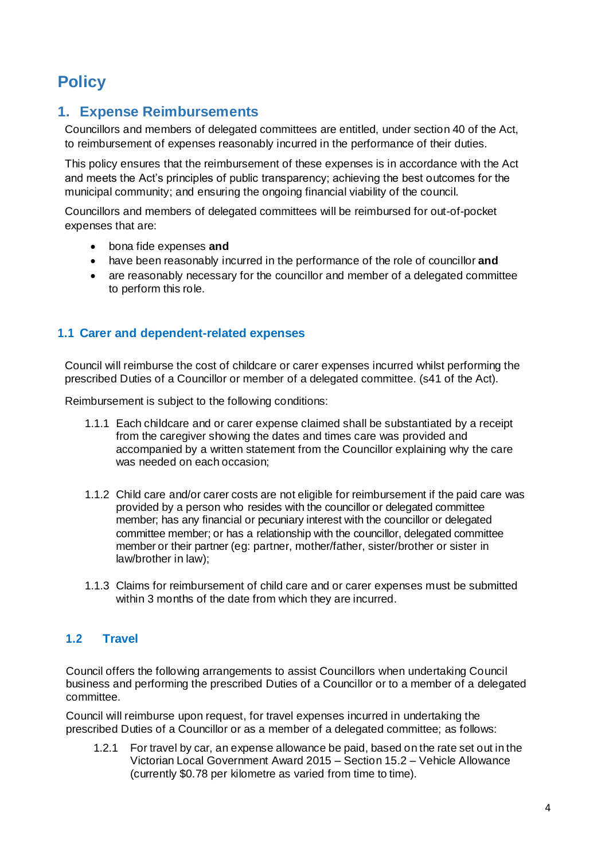# **Policy**

### **1. Expense Reimbursements**

Councillors and members of delegated committees are entitled, under section 40 of the Act, to reimbursement of expenses reasonably incurred in the performance of their duties.

This policy ensures that the reimbursement of these expenses is in accordance with the Act and meets the Act's principles of public transparency; achieving the best outcomes for the municipal community; and ensuring the ongoing financial viability of the council.

Councillors and members of delegated committees will be reimbursed for out-of-pocket expenses that are:

- bona fide expenses **and**
- have been reasonably incurred in the performance of the role of councillor **and**
- are reasonably necessary for the councillor and member of a delegated committee to perform this role.

#### **1.1 Carer and dependent-related expenses**

Council will reimburse the cost of childcare or carer expenses incurred whilst performing the prescribed Duties of a Councillor or member of a delegated committee. (s41 of the Act).

Reimbursement is subject to the following conditions:

- 1.1.1 Each childcare and or carer expense claimed shall be substantiated by a receipt from the caregiver showing the dates and times care was provided and accompanied by a written statement from the Councillor explaining why the care was needed on each occasion;
- 1.1.2 Child care and/or carer costs are not eligible for reimbursement if the paid care was provided by a person who resides with the councillor or delegated committee member; has any financial or pecuniary interest with the councillor or delegated committee member; or has a relationship with the councillor, delegated committee member or their partner (eg: partner, mother/father, sister/brother or sister in law/brother in law);
- 1.1.3 Claims for reimbursement of child care and or carer expenses must be submitted within 3 months of the date from which they are incurred.

#### **1.2 Travel**

Council offers the following arrangements to assist Councillors when undertaking Council business and performing the prescribed Duties of a Councillor or to a member of a delegated committee.

Council will reimburse upon request, for travel expenses incurred in undertaking the prescribed Duties of a Councillor or as a member of a delegated committee; as follows:

1.2.1 For travel by car, an expense allowance be paid, based on the rate set out in the Victorian Local Government Award 2015 – Section 15.2 – Vehicle Allowance (currently \$0.78 per kilometre as varied from time to time).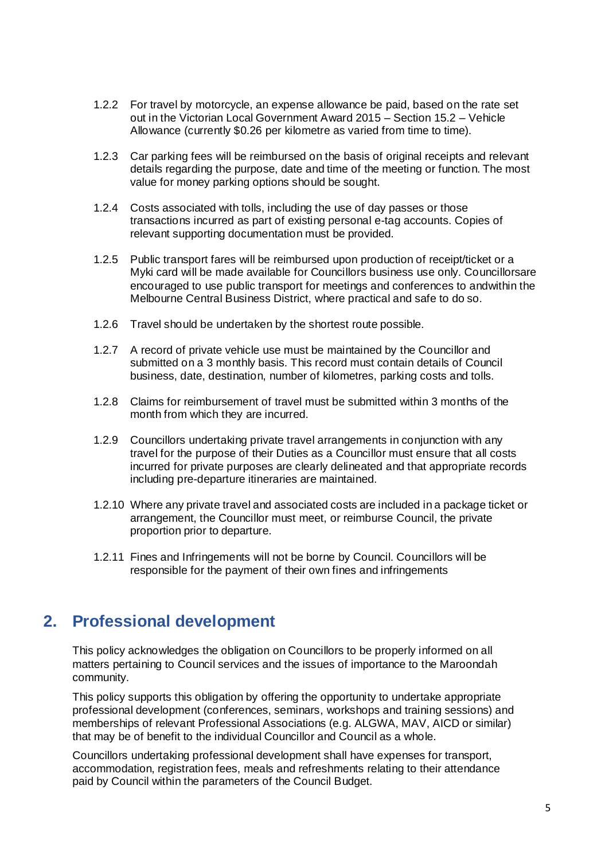- 1.2.2 For travel by motorcycle, an expense allowance be paid, based on the rate set out in the Victorian Local Government Award 2015 – Section 15.2 – Vehicle Allowance (currently \$0.26 per kilometre as varied from time to time).
- 1.2.3 Car parking fees will be reimbursed on the basis of original receipts and relevant details regarding the purpose, date and time of the meeting or function. The most value for money parking options should be sought.
- 1.2.4 Costs associated with tolls, including the use of day passes or those transactions incurred as part of existing personal e-tag accounts. Copies of relevant supporting documentation must be provided.
- 1.2.5 Public transport fares will be reimbursed upon production of receipt/ticket or a Myki card will be made available for Councillors business use only. Councillorsare encouraged to use public transport for meetings and conferences to andwithin the Melbourne Central Business District, where practical and safe to do so.
- 1.2.6 Travel should be undertaken by the shortest route possible.
- 1.2.7 A record of private vehicle use must be maintained by the Councillor and submitted on a 3 monthly basis. This record must contain details of Council business, date, destination, number of kilometres, parking costs and tolls.
- 1.2.8 Claims for reimbursement of travel must be submitted within 3 months of the month from which they are incurred.
- 1.2.9 Councillors undertaking private travel arrangements in conjunction with any travel for the purpose of their Duties as a Councillor must ensure that all costs incurred for private purposes are clearly delineated and that appropriate records including pre-departure itineraries are maintained.
- 1.2.10 Where any private travel and associated costs are included in a package ticket or arrangement, the Councillor must meet, or reimburse Council, the private proportion prior to departure.
- 1.2.11 Fines and Infringements will not be borne by Council. Councillors will be responsible for the payment of their own fines and infringements

# **2. Professional development**

This policy acknowledges the obligation on Councillors to be properly informed on all matters pertaining to Council services and the issues of importance to the Maroondah community.

This policy supports this obligation by offering the opportunity to undertake appropriate professional development (conferences, seminars, workshops and training sessions) and memberships of relevant Professional Associations (e.g. ALGWA, MAV, AICD or similar) that may be of benefit to the individual Councillor and Council as a whole.

Councillors undertaking professional development shall have expenses for transport, accommodation, registration fees, meals and refreshments relating to their attendance paid by Council within the parameters of the Council Budget.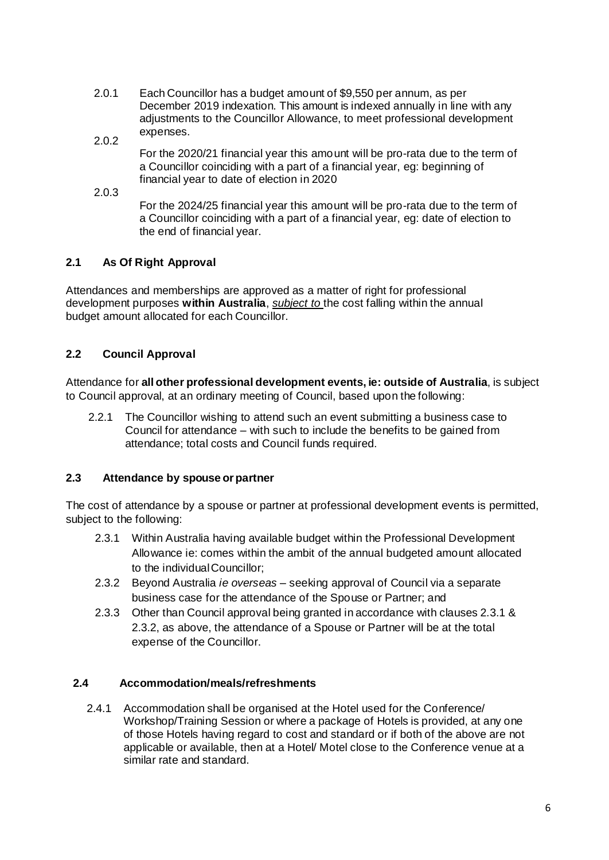- 2.0.1 Each Councillor has a budget amount of \$9,550 per annum, as per December 2019 indexation. This amount is indexed annually in line with any adjustments to the Councillor Allowance, to meet professional development expenses.
- 2.0.2

For the 2020/21 financial year this amount will be pro-rata due to the term of a Councillor coinciding with a part of a financial year, eg: beginning of financial year to date of election in 2020

2.0.3

For the 2024/25 financial year this amount will be pro-rata due to the term of a Councillor coinciding with a part of a financial year, eg: date of election to the end of financial year.

#### **2.1 As Of Right Approval**

Attendances and memberships are approved as a matter of right for professional development purposes **within Australia**, *subject to* the cost falling within the annual budget amount allocated for each Councillor.

#### **2.2 Council Approval**

Attendance for **all other professional development events, ie: outside of Australia**, is subject to Council approval, at an ordinary meeting of Council, based upon the following:

2.2.1 The Councillor wishing to attend such an event submitting a business case to Council for attendance – with such to include the benefits to be gained from attendance; total costs and Council funds required.

#### **2.3 Attendance by spouse or partner**

The cost of attendance by a spouse or partner at professional development events is permitted, subject to the following:

- 2.3.1 Within Australia having available budget within the Professional Development Allowance ie: comes within the ambit of the annual budgeted amount allocated to the individualCouncillor;
- 2.3.2 Beyond Australia *ie overseas –* seeking approval of Council via a separate business case for the attendance of the Spouse or Partner; and
- 2.3.3 Other than Council approval being granted in accordance with clauses 2.3.1 & 2.3.2, as above, the attendance of a Spouse or Partner will be at the total expense of the Councillor.

#### **2.4 Accommodation/meals/refreshments**

2.4.1 Accommodation shall be organised at the Hotel used for the Conference/ Workshop/Training Session or where a package of Hotels is provided, at any one of those Hotels having regard to cost and standard or if both of the above are not applicable or available, then at a Hotel/ Motel close to the Conference venue at a similar rate and standard.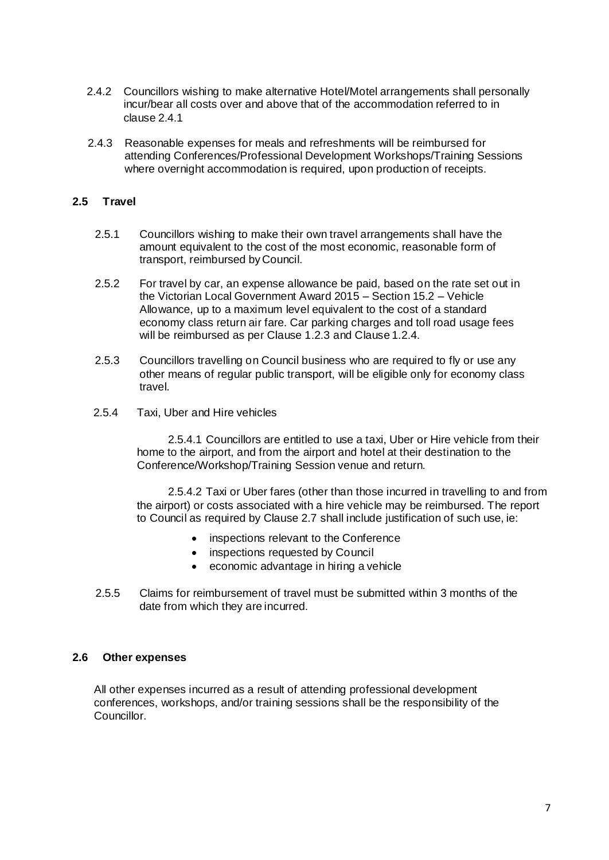- 2.4.2 Councillors wishing to make alternative Hotel/Motel arrangements shall personally incur/bear all costs over and above that of the accommodation referred to in clause 2.4.1
- 2.4.3 Reasonable expenses for meals and refreshments will be reimbursed for attending Conferences/Professional Development Workshops/Training Sessions where overnight accommodation is required, upon production of receipts.

#### **2.5 Travel**

- 2.5.1 Councillors wishing to make their own travel arrangements shall have the amount equivalent to the cost of the most economic, reasonable form of transport, reimbursed by Council.
- 2.5.2 For travel by car, an expense allowance be paid, based on the rate set out in the Victorian Local Government Award 2015 – Section 15.2 – Vehicle Allowance, up to a maximum level equivalent to the cost of a standard economy class return air fare. Car parking charges and toll road usage fees will be reimbursed as per Clause 1.2.3 and Clause 1.2.4.
- 2.5.3 Councillors travelling on Council business who are required to fly or use any other means of regular public transport, will be eligible only for economy class travel.
- 2.5.4 Taxi, Uber and Hire vehicles

2.5.4.1 Councillors are entitled to use a taxi, Uber or Hire vehicle from their home to the airport, and from the airport and hotel at their destination to the Conference/Workshop/Training Session venue and return.

2.5.4.2 Taxi or Uber fares (other than those incurred in travelling to and from the airport) or costs associated with a hire vehicle may be reimbursed. The report to Council as required by Clause 2.7 shall include justification of such use, ie:

- inspections relevant to the Conference
- inspections requested by Council
- economic advantage in hiring a vehicle
- 2.5.5 Claims for reimbursement of travel must be submitted within 3 months of the date from which they are incurred.

#### **2.6 Other expenses**

All other expenses incurred as a result of attending professional development conferences, workshops, and/or training sessions shall be the responsibility of the Councillor.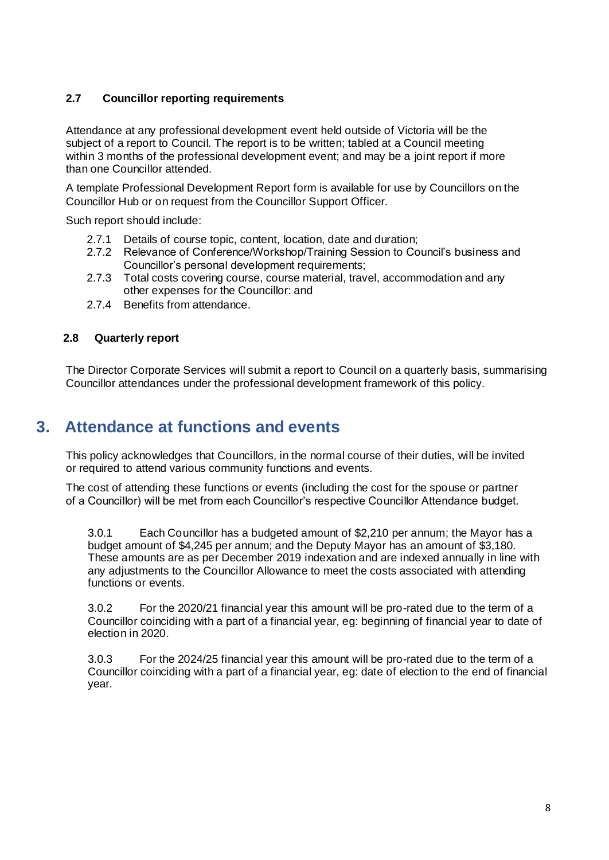#### **2.7 Councillor reporting requirements**

Attendance at any professional development event held outside of Victoria will be the subject of a report to Council. The report is to be written; tabled at a Council meeting within 3 months of the professional development event; and may be a joint report if more than one Councillor attended.

A template Professional Development Report form is available for use by Councillors on the Councillor Hub or on request from the Councillor Support Officer.

Such report should include:

- 2.7.1 Details of course topic, content, location, date and duration;
- 2.7.2 Relevance of Conference/Workshop/Training Session to Council's business and Councillor's personal development requirements;
- 2.7.3 Total costs covering course, course material, travel, accommodation and any other expenses for the Councillor: and
- 2.7.4 Benefits from attendance.

#### **2.8 Quarterly report**

The Director Corporate Services will submit a report to Council on a quarterly basis, summarising Councillor attendances under the professional development framework of this policy.

# **3. Attendance at functions and events**

This policy acknowledges that Councillors, in the normal course of their duties, will be invited or required to attend various community functions and events.

The cost of attending these functions or events (including the cost for the spouse or partner of a Councillor) will be met from each Councillor's respective Councillor Attendance budget.

3.0.1 Each Councillor has a budgeted amount of \$2,210 per annum; the Mayor has a budget amount of \$4,245 per annum; and the Deputy Mayor has an amount of \$3,180. These amounts are as per December 2019 indexation and are indexed annually in line with any adjustments to the Councillor Allowance to meet the costs associated with attending functions or events.

3.0.2 For the 2020/21 financial year this amount will be pro-rated due to the term of a Councillor coinciding with a part of a financial year, eg: beginning of financial year to date of election in 2020.

3.0.3 For the 2024/25 financial year this amount will be pro-rated due to the term of a Councillor coinciding with a part of a financial year, eg: date of election to the end of financial year.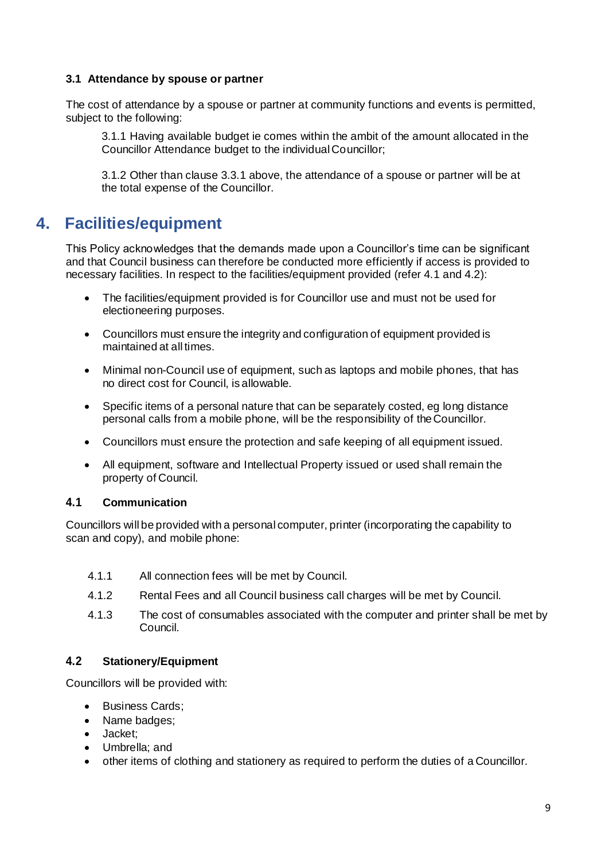#### **3.1 Attendance by spouse or partner**

The cost of attendance by a spouse or partner at community functions and events is permitted, subject to the following:

3.1.1 Having available budget ie comes within the ambit of the amount allocated in the Councillor Attendance budget to the individualCouncillor;

3.1.2 Other than clause 3.3.1 above, the attendance of a spouse or partner will be at the total expense of the Councillor.

# **4. Facilities/equipment**

This Policy acknowledges that the demands made upon a Councillor's time can be significant and that Council business can therefore be conducted more efficiently if access is provided to necessary facilities. In respect to the facilities/equipment provided (refer 4.1 and 4.2):

- The facilities/equipment provided is for Councillor use and must not be used for electioneering purposes.
- Councillors must ensure the integrity and configuration of equipment provided is maintained at all times.
- Minimal non-Council use of equipment, such as laptops and mobile phones, that has no direct cost for Council, is allowable.
- Specific items of a personal nature that can be separately costed, eg long distance personal calls from a mobile phone, will be the responsibility of theCouncillor.
- Councillors must ensure the protection and safe keeping of all equipment issued.
- All equipment, software and Intellectual Property issued or used shall remain the property of Council.

#### **4.1 Communication**

Councillors will be provided with a personal computer, printer (incorporating the capability to scan and copy), and mobile phone:

- 4.1.1 All connection fees will be met by Council.
- 4.1.2 Rental Fees and all Council business call charges will be met by Council.
- 4.1.3 The cost of consumables associated with the computer and printer shall be met by Council.

#### **4.2 Stationery/Equipment**

Councillors will be provided with:

- Business Cards;
- Name badges:
- Jacket;
- Umbrella; and
- other items of clothing and stationery as required to perform the duties of a Councillor.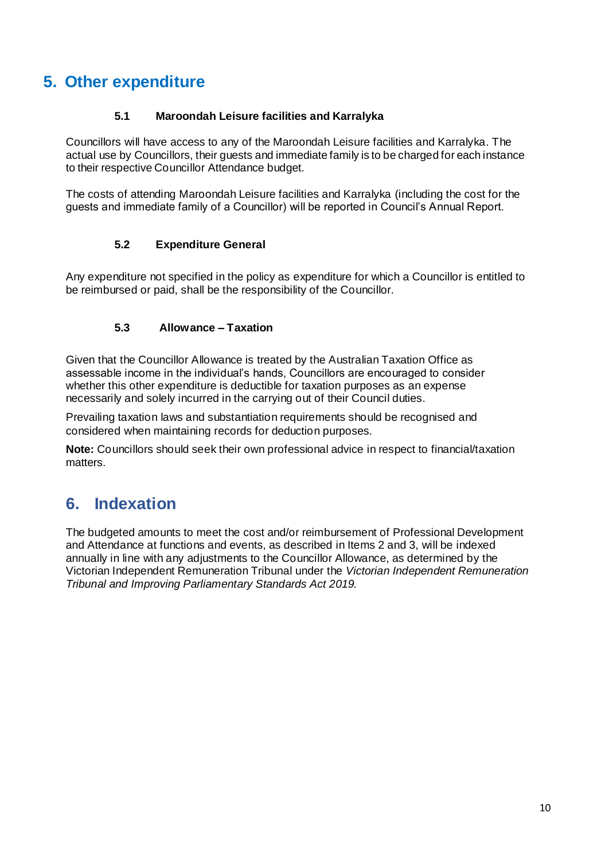# **5. Other expenditure**

#### **5.1 Maroondah Leisure facilities and Karralyka**

Councillors will have access to any of the Maroondah Leisure facilities and Karralyka. The actual use by Councillors, their guests and immediate family is to be charged for each instance to their respective Councillor Attendance budget.

The costs of attending Maroondah Leisure facilities and Karralyka (including the cost for the guests and immediate family of a Councillor) will be reported in Council's Annual Report.

#### **5.2 Expenditure General**

Any expenditure not specified in the policy as expenditure for which a Councillor is entitled to be reimbursed or paid, shall be the responsibility of the Councillor.

#### **5.3 Allowance – Taxation**

Given that the Councillor Allowance is treated by the Australian Taxation Office as assessable income in the individual's hands, Councillors are encouraged to consider whether this other expenditure is deductible for taxation purposes as an expense necessarily and solely incurred in the carrying out of their Council duties.

Prevailing taxation laws and substantiation requirements should be recognised and considered when maintaining records for deduction purposes.

**Note:** Councillors should seek their own professional advice in respect to financial/taxation matters.

# **6. Indexation**

The budgeted amounts to meet the cost and/or reimbursement of Professional Development and Attendance at functions and events, as described in Items 2 and 3, will be indexed annually in line with any adjustments to the Councillor Allowance, as determined by the Victorian Independent Remuneration Tribunal under the *Victorian Independent Remuneration Tribunal and Improving Parliamentary Standards Act 2019.*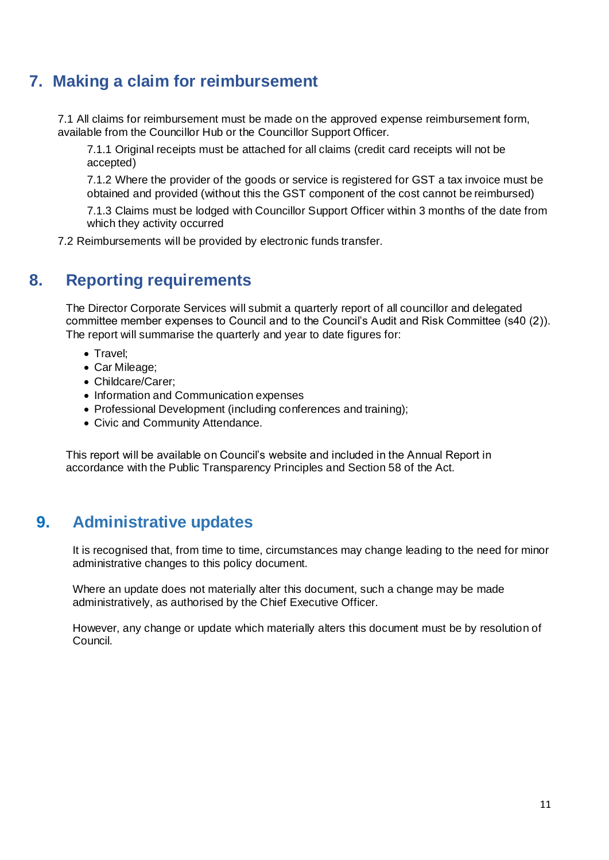# **7. Making a claim for reimbursement**

7.1 All claims for reimbursement must be made on the approved expense reimbursement form, available from the Councillor Hub or the Councillor Support Officer.

7.1.1 Original receipts must be attached for all claims (credit card receipts will not be accepted)

7.1.2 Where the provider of the goods or service is registered for GST a tax invoice must be obtained and provided (without this the GST component of the cost cannot be reimbursed)

7.1.3 Claims must be lodged with Councillor Support Officer within 3 months of the date from which they activity occurred

7.2 Reimbursements will be provided by electronic funds transfer.

# **8. Reporting requirements**

The Director Corporate Services will submit a quarterly report of all councillor and delegated committee member expenses to Council and to the Council's Audit and Risk Committee (s40 (2)). The report will summarise the quarterly and year to date figures for:

- Travel;
- Car Mileage;
- Childcare/Carer;
- Information and Communication expenses
- Professional Development (including conferences and training);
- Civic and Community Attendance.

This report will be available on Council's website and included in the Annual Report in accordance with the Public Transparency Principles and Section 58 of the Act.

# **9. Administrative updates**

It is recognised that, from time to time, circumstances may change leading to the need for minor administrative changes to this policy document.

Where an update does not materially alter this document, such a change may be made administratively, as authorised by the Chief Executive Officer.

However, any change or update which materially alters this document must be by resolution of Council.